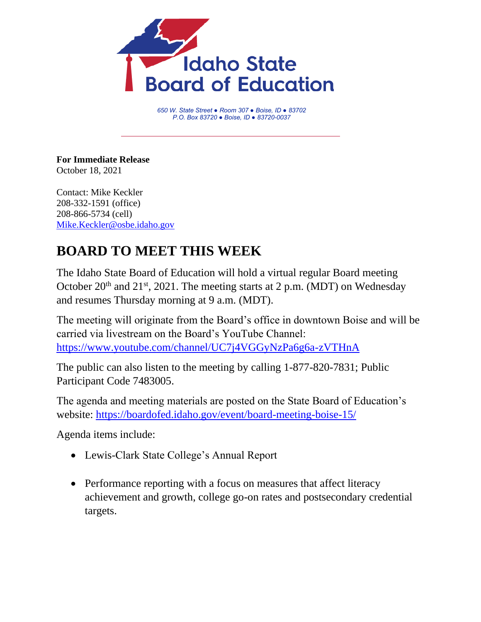

*650 W. State Street ● Room 307 ● Boise, ID ● 83702 P.O. Box 83720 ● Boise, ID ● 83720-0037*

**For Immediate Release** October 18, 2021

Contact: Mike Keckler 208-332-1591 (office) 208-866-5734 (cell) [Mike.Keckler@osbe.idaho.gov](mailto:Mike.Keckler@osbe.idaho.gov)

## **BOARD TO MEET THIS WEEK**

The Idaho State Board of Education will hold a virtual regular Board meeting October  $20<sup>th</sup>$  and  $21<sup>st</sup>$ ,  $2021$ . The meeting starts at 2 p.m. (MDT) on Wednesday and resumes Thursday morning at 9 a.m. (MDT).

The meeting will originate from the Board's office in downtown Boise and will be carried via livestream on the Board's YouTube Channel: <https://www.youtube.com/channel/UC7j4VGGyNzPa6g6a-zVTHnA>

The public can also listen to the meeting by calling 1-877-820-7831; Public Participant Code 7483005.

The agenda and meeting materials are posted on the State Board of Education's website: <https://boardofed.idaho.gov/event/board-meeting-boise-15/>

Agenda items include:

- Lewis-Clark State College's Annual Report
- Performance reporting with a focus on measures that affect literacy achievement and growth, college go-on rates and postsecondary credential targets.